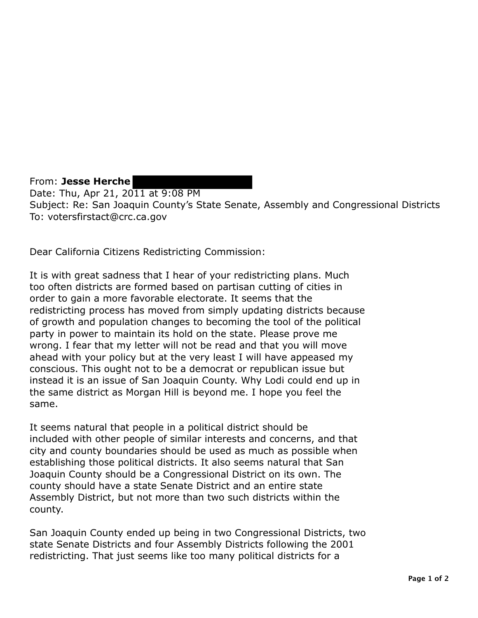From: **Jesse Herche**  Date: Thu, Apr 21, 2011 at 9:08 PM Subject: Re: San Joaquin County's State Senate, Assembly and Congressional Districts To: votersfirstact@crc.ca.gov

Dear California Citizens Redistricting Commission:

It is with great sadness that I hear of your redistricting plans. Much too often districts are formed based on partisan cutting of cities in order to gain a more favorable electorate. It seems that the redistricting process has moved from simply updating districts because of growth and population changes to becoming the tool of the political party in power to maintain its hold on the state. Please prove me wrong. I fear that my letter will not be read and that you will move ahead with your policy but at the very least I will have appeased my conscious. This ought not to be a democrat or republican issue but instead it is an issue of San Joaquin County. Why Lodi could end up in the same district as Morgan Hill is beyond me. I hope you feel the same.

It seems natural that people in a political district should be included with other people of similar interests and concerns, and that city and county boundaries should be used as much as possible when establishing those political districts. It also seems natural that San Joaquin County should be a Congressional District on its own. The county should have a state Senate District and an entire state Assembly District, but not more than two such districts within the county.

San Joaquin County ended up being in two Congressional Districts, two state Senate Districts and four Assembly Districts following the 2001 redistricting. That just seems like too many political districts for a